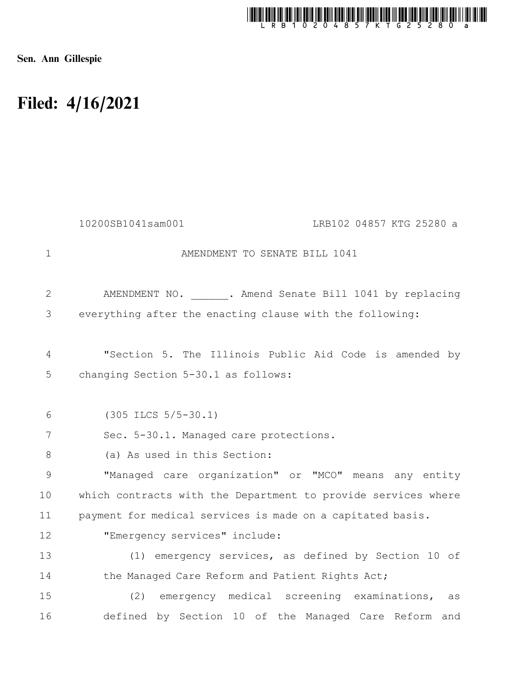

Sen. Ann Gillespie

## Filed: 4/16/2021

|                     | 10200SB1041sam001<br>LRB102 04857 KTG 25280 a                                                 |
|---------------------|-----------------------------------------------------------------------------------------------|
| $\mathbf 1$         | AMENDMENT TO SENATE BILL 1041                                                                 |
| 2                   | AMENDMENT NO. . Amend Senate Bill 1041 by replacing                                           |
| 3                   | everything after the enacting clause with the following:                                      |
| $\overline{4}$<br>5 | "Section 5. The Illinois Public Aid Code is amended by<br>changing Section 5-30.1 as follows: |
| 6                   | $(305$ ILCS $5/5-30.1)$                                                                       |
| 7                   | Sec. 5-30.1. Managed care protections.                                                        |
| $8\,$               | (a) As used in this Section:                                                                  |
| 9                   | "Managed care organization" or "MCO" means any entity                                         |
| 10                  | which contracts with the Department to provide services where                                 |
| 11                  | payment for medical services is made on a capitated basis.                                    |
| 12                  | "Emergency services" include:                                                                 |
| 13                  | (1) emergency services, as defined by Section 10 of                                           |
| 14                  | the Managed Care Reform and Patient Rights Act;                                               |
| 15                  | (2) emergency medical screening examinations,<br>as                                           |
| 16                  | defined by Section 10 of the Managed Care Reform and                                          |
|                     |                                                                                               |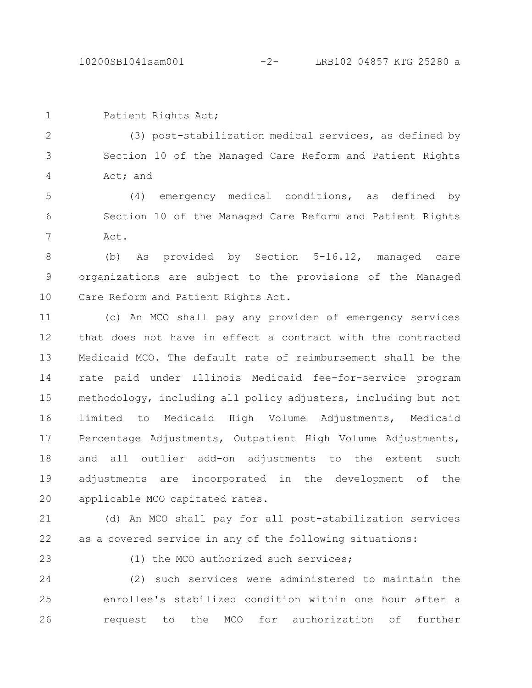Patient Rights Act;

(3) post-stabilization medical services, as defined by Section 10 of the Managed Care Reform and Patient Rights Act; and 2 3 4

(4) emergency medical conditions, as defined by Section 10 of the Managed Care Reform and Patient Rights Act. 5 6 7

(b) As provided by Section 5-16.12, managed care organizations are subject to the provisions of the Managed Care Reform and Patient Rights Act. 8 9 10

(c) An MCO shall pay any provider of emergency services that does not have in effect a contract with the contracted Medicaid MCO. The default rate of reimbursement shall be the rate paid under Illinois Medicaid fee-for-service program methodology, including all policy adjusters, including but not limited to Medicaid High Volume Adjustments, Medicaid Percentage Adjustments, Outpatient High Volume Adjustments, and all outlier add-on adjustments to the extent such adjustments are incorporated in the development of the applicable MCO capitated rates. 11 12 13 14 15 16 17 18 19 20

(d) An MCO shall pay for all post-stabilization services as a covered service in any of the following situations: 21 22

23

(1) the MCO authorized such services;

(2) such services were administered to maintain the enrollee's stabilized condition within one hour after a request to the MCO for authorization of further 24 25 26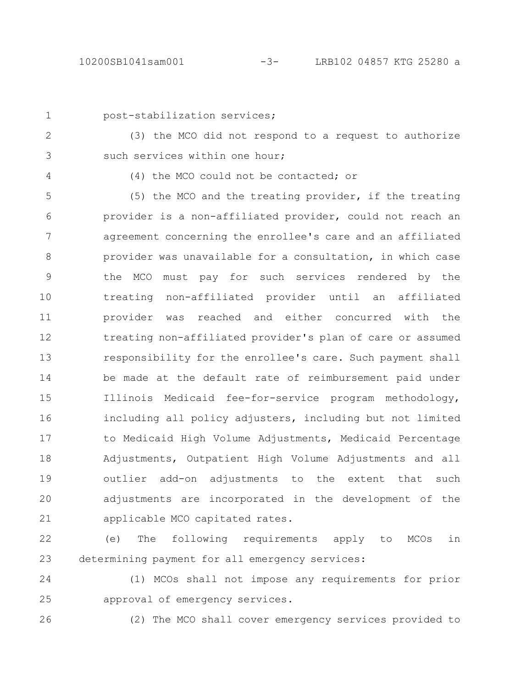```
1
```
## post-stabilization services;

2 3

(3) the MCO did not respond to a request to authorize such services within one hour;

4

(4) the MCO could not be contacted; or

(5) the MCO and the treating provider, if the treating provider is a non-affiliated provider, could not reach an agreement concerning the enrollee's care and an affiliated provider was unavailable for a consultation, in which case the MCO must pay for such services rendered by the treating non-affiliated provider until an affiliated provider was reached and either concurred with the treating non-affiliated provider's plan of care or assumed responsibility for the enrollee's care. Such payment shall be made at the default rate of reimbursement paid under Illinois Medicaid fee-for-service program methodology, including all policy adjusters, including but not limited to Medicaid High Volume Adjustments, Medicaid Percentage Adjustments, Outpatient High Volume Adjustments and all outlier add-on adjustments to the extent that such adjustments are incorporated in the development of the applicable MCO capitated rates. 5 6 7 8 9 10 11 12 13 14 15 16 17 18 19 20 21

(e) The following requirements apply to MCOs in determining payment for all emergency services: 22 23

(1) MCOs shall not impose any requirements for prior approval of emergency services. 24 25

26

(2) The MCO shall cover emergency services provided to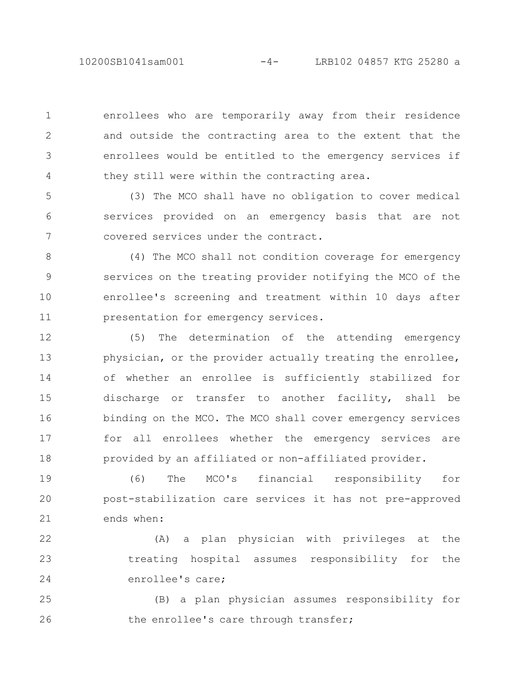10200SB1041sam001 -4- LRB102 04857 KTG 25280 a

enrollees who are temporarily away from their residence and outside the contracting area to the extent that the enrollees would be entitled to the emergency services if they still were within the contracting area.

1

2

3

4

(3) The MCO shall have no obligation to cover medical services provided on an emergency basis that are not covered services under the contract. 5 6 7

(4) The MCO shall not condition coverage for emergency services on the treating provider notifying the MCO of the enrollee's screening and treatment within 10 days after presentation for emergency services. 8 9 10 11

(5) The determination of the attending emergency physician, or the provider actually treating the enrollee, of whether an enrollee is sufficiently stabilized for discharge or transfer to another facility, shall be binding on the MCO. The MCO shall cover emergency services for all enrollees whether the emergency services are provided by an affiliated or non-affiliated provider. 12 13 14 15 16 17 18

(6) The MCO's financial responsibility for post-stabilization care services it has not pre-approved ends when: 19 20 21

(A) a plan physician with privileges at the treating hospital assumes responsibility for the enrollee's care; 22 23 24

(B) a plan physician assumes responsibility for the enrollee's care through transfer; 25 26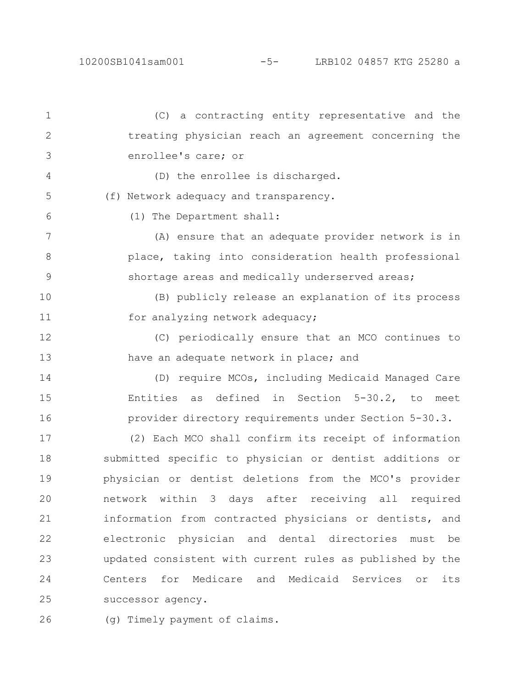(C) a contracting entity representative and the treating physician reach an agreement concerning the enrollee's care; or (D) the enrollee is discharged. (f) Network adequacy and transparency. (1) The Department shall: (A) ensure that an adequate provider network is in place, taking into consideration health professional shortage areas and medically underserved areas; (B) publicly release an explanation of its process for analyzing network adequacy; (C) periodically ensure that an MCO continues to have an adequate network in place; and (D) require MCOs, including Medicaid Managed Care Entities as defined in Section 5-30.2, to meet provider directory requirements under Section 5-30.3. (2) Each MCO shall confirm its receipt of information submitted specific to physician or dentist additions or physician or dentist deletions from the MCO's provider network within 3 days after receiving all required information from contracted physicians or dentists, and electronic physician and dental directories must be updated consistent with current rules as published by the Centers for Medicare and Medicaid Services or its successor agency. 1 2 3 4 5 6 7 8 9 10 11 12 13 14 15 16 17 18 19 20 21 22 23 24 25

(g) Timely payment of claims. 26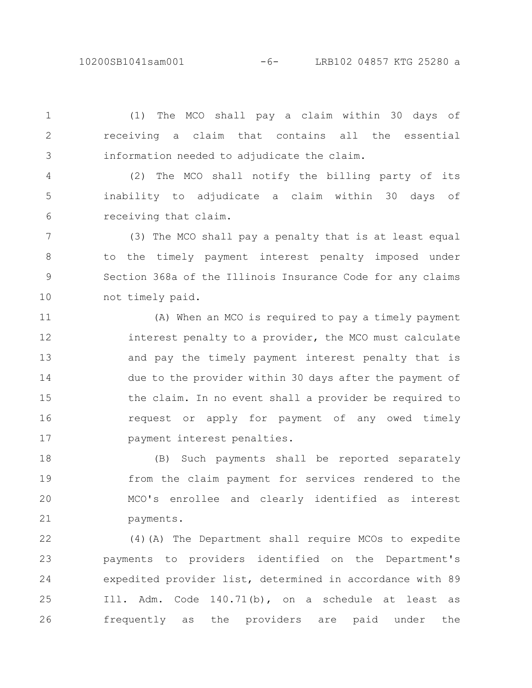10200SB1041sam001 -6- LRB102 04857 KTG 25280 a

(1) The MCO shall pay a claim within 30 days of receiving a claim that contains all the essential information needed to adjudicate the claim.

1

2

3

(2) The MCO shall notify the billing party of its inability to adjudicate a claim within 30 days of receiving that claim. 4 5 6

(3) The MCO shall pay a penalty that is at least equal to the timely payment interest penalty imposed under Section 368a of the Illinois Insurance Code for any claims not timely paid. 7 8 9 10

(A) When an MCO is required to pay a timely payment interest penalty to a provider, the MCO must calculate and pay the timely payment interest penalty that is due to the provider within 30 days after the payment of the claim. In no event shall a provider be required to request or apply for payment of any owed timely payment interest penalties. 11 12 13 14 15 16 17

(B) Such payments shall be reported separately from the claim payment for services rendered to the MCO's enrollee and clearly identified as interest payments. 18 19 20 21

(4)(A) The Department shall require MCOs to expedite payments to providers identified on the Department's expedited provider list, determined in accordance with 89 Ill. Adm. Code 140.71(b), on a schedule at least as frequently as the providers are paid under the 22 23 24 25 26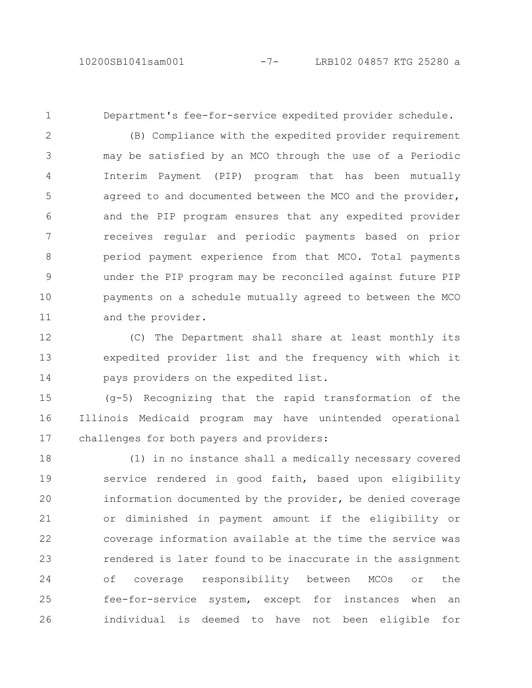1

Department's fee-for-service expedited provider schedule.

(B) Compliance with the expedited provider requirement may be satisfied by an MCO through the use of a Periodic Interim Payment (PIP) program that has been mutually agreed to and documented between the MCO and the provider, and the PIP program ensures that any expedited provider receives regular and periodic payments based on prior period payment experience from that MCO. Total payments under the PIP program may be reconciled against future PIP payments on a schedule mutually agreed to between the MCO and the provider. 2 3 4 5 6 7 8 9 10 11

(C) The Department shall share at least monthly its expedited provider list and the frequency with which it pays providers on the expedited list. 12 13 14

(g-5) Recognizing that the rapid transformation of the Illinois Medicaid program may have unintended operational challenges for both payers and providers: 15 16 17

(1) in no instance shall a medically necessary covered service rendered in good faith, based upon eligibility information documented by the provider, be denied coverage or diminished in payment amount if the eligibility or coverage information available at the time the service was rendered is later found to be inaccurate in the assignment of coverage responsibility between MCOs or the fee-for-service system, except for instances when an individual is deemed to have not been eligible for 18 19 20 21 22 23 24 25 26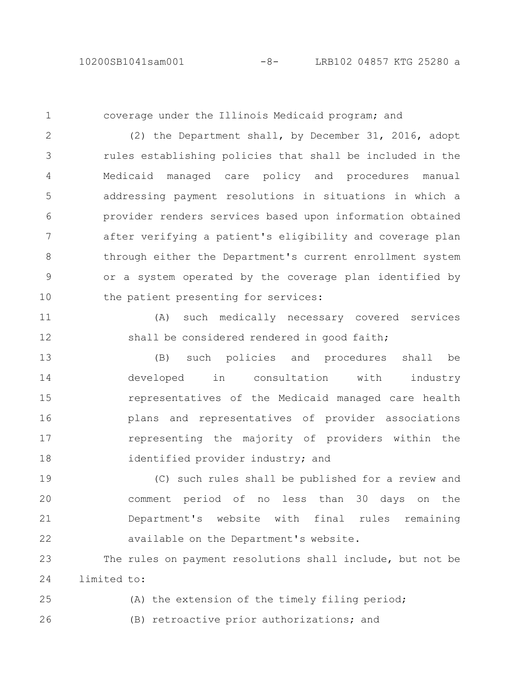1

coverage under the Illinois Medicaid program; and

(2) the Department shall, by December 31, 2016, adopt rules establishing policies that shall be included in the Medicaid managed care policy and procedures manual addressing payment resolutions in situations in which a provider renders services based upon information obtained after verifying a patient's eligibility and coverage plan through either the Department's current enrollment system or a system operated by the coverage plan identified by the patient presenting for services: 2 3 4 5 6 7 8 9 10

(A) such medically necessary covered services shall be considered rendered in good faith; 11 12

(B) such policies and procedures shall be developed in consultation with industry representatives of the Medicaid managed care health plans and representatives of provider associations representing the majority of providers within the identified provider industry; and 13 14 15 16 17 18

(C) such rules shall be published for a review and comment period of no less than 30 days on the Department's website with final rules remaining available on the Department's website. 19 20 21 22

The rules on payment resolutions shall include, but not be limited to: 23 24

(A) the extension of the timely filing period; (B) retroactive prior authorizations; and 25 26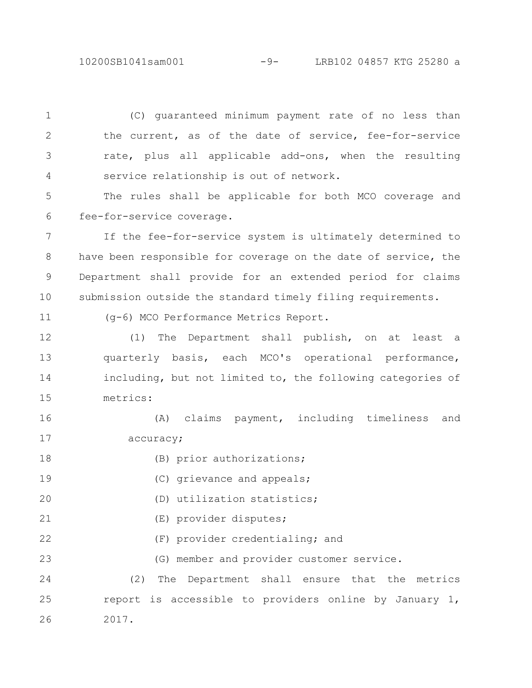10200SB1041sam001 -9- LRB102 04857 KTG 25280 a

(C) guaranteed minimum payment rate of no less than the current, as of the date of service, fee-for-service rate, plus all applicable add-ons, when the resulting service relationship is out of network. 1 2 3 4

The rules shall be applicable for both MCO coverage and fee-for-service coverage. 5 6

If the fee-for-service system is ultimately determined to have been responsible for coverage on the date of service, the Department shall provide for an extended period for claims submission outside the standard timely filing requirements. 7 8 9 10

(g-6) MCO Performance Metrics Report.

11

(1) The Department shall publish, on at least a quarterly basis, each MCO's operational performance, including, but not limited to, the following categories of metrics: 12 13 14 15

(A) claims payment, including timeliness and accuracy; 16 17

- (B) prior authorizations; 18
- (C) grievance and appeals; 19
- (D) utilization statistics; 20
- (E) provider disputes; 21
- (F) provider credentialing; and 22

(G) member and provider customer service. 23

(2) The Department shall ensure that the metrics report is accessible to providers online by January 1, 2017. 24 25 26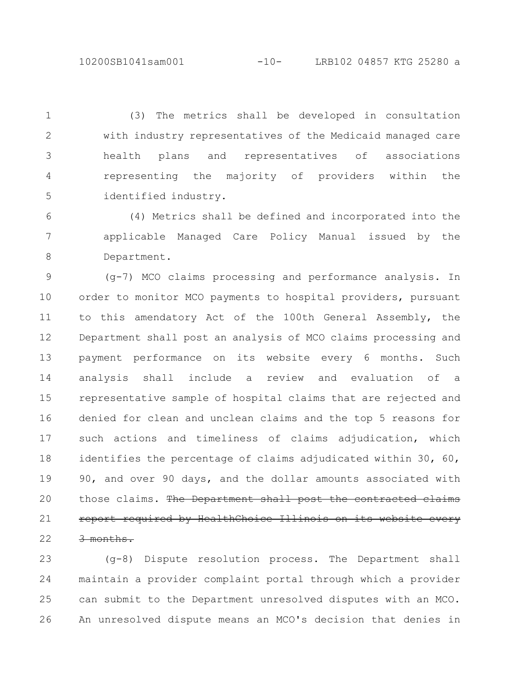(3) The metrics shall be developed in consultation with industry representatives of the Medicaid managed care health plans and representatives of associations representing the majority of providers within the identified industry. 1 2 3 4 5

(4) Metrics shall be defined and incorporated into the applicable Managed Care Policy Manual issued by the Department. 6 7 8

(g-7) MCO claims processing and performance analysis. In order to monitor MCO payments to hospital providers, pursuant to this amendatory Act of the 100th General Assembly, the Department shall post an analysis of MCO claims processing and payment performance on its website every 6 months. Such analysis shall include a review and evaluation of a representative sample of hospital claims that are rejected and denied for clean and unclean claims and the top 5 reasons for such actions and timeliness of claims adjudication, which identifies the percentage of claims adjudicated within 30, 60, 90, and over 90 days, and the dollar amounts associated with those claims. The Department shall post the contracted report required by HealthChoice Illinois on its website every 3 months. 9 10 11 12 13 14 15 16 17 18 19 20 21 22

(g-8) Dispute resolution process. The Department shall maintain a provider complaint portal through which a provider can submit to the Department unresolved disputes with an MCO. An unresolved dispute means an MCO's decision that denies in 23 24 25 26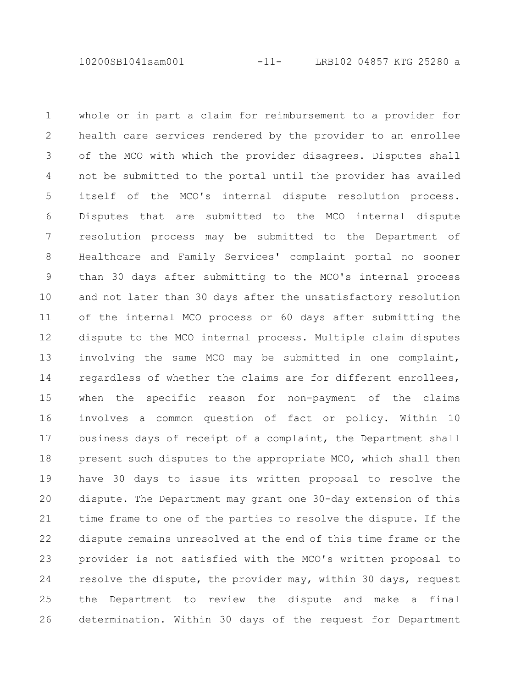10200SB1041sam001 -11- LRB102 04857 KTG 25280 a

whole or in part a claim for reimbursement to a provider for health care services rendered by the provider to an enrollee of the MCO with which the provider disagrees. Disputes shall not be submitted to the portal until the provider has availed itself of the MCO's internal dispute resolution process. Disputes that are submitted to the MCO internal dispute resolution process may be submitted to the Department of Healthcare and Family Services' complaint portal no sooner than 30 days after submitting to the MCO's internal process and not later than 30 days after the unsatisfactory resolution of the internal MCO process or 60 days after submitting the dispute to the MCO internal process. Multiple claim disputes involving the same MCO may be submitted in one complaint, regardless of whether the claims are for different enrollees, when the specific reason for non-payment of the claims involves a common question of fact or policy. Within 10 business days of receipt of a complaint, the Department shall present such disputes to the appropriate MCO, which shall then have 30 days to issue its written proposal to resolve the dispute. The Department may grant one 30-day extension of this time frame to one of the parties to resolve the dispute. If the dispute remains unresolved at the end of this time frame or the provider is not satisfied with the MCO's written proposal to resolve the dispute, the provider may, within 30 days, request the Department to review the dispute and make a final determination. Within 30 days of the request for Department 1 2 3 4 5 6 7 8 9 10 11 12 13 14 15 16 17 18 19 20 21 22 23 24 25 26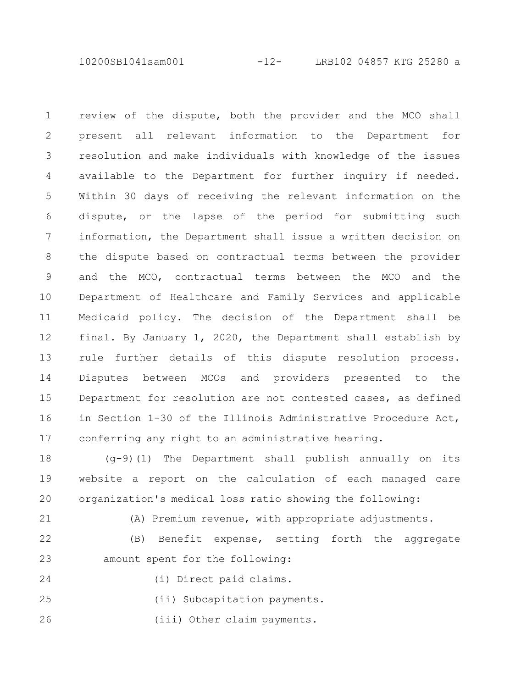10200SB1041sam001 -12- LRB102 04857 KTG 25280 a

review of the dispute, both the provider and the MCO shall present all relevant information to the Department for resolution and make individuals with knowledge of the issues available to the Department for further inquiry if needed. Within 30 days of receiving the relevant information on the dispute, or the lapse of the period for submitting such information, the Department shall issue a written decision on the dispute based on contractual terms between the provider and the MCO, contractual terms between the MCO and the Department of Healthcare and Family Services and applicable Medicaid policy. The decision of the Department shall be final. By January 1, 2020, the Department shall establish by rule further details of this dispute resolution process. Disputes between MCOs and providers presented to the Department for resolution are not contested cases, as defined in Section 1-30 of the Illinois Administrative Procedure Act, conferring any right to an administrative hearing. 1 2 3 4 5 6 7 8 9 10 11 12 13 14 15 16 17

(g-9)(1) The Department shall publish annually on its website a report on the calculation of each managed care organization's medical loss ratio showing the following: 18 19 20

21

(A) Premium revenue, with appropriate adjustments.

(B) Benefit expense, setting forth the aggregate amount spent for the following: 22 23

24

(i) Direct paid claims.

(ii) Subcapitation payments. 25

(iii) Other claim payments. 26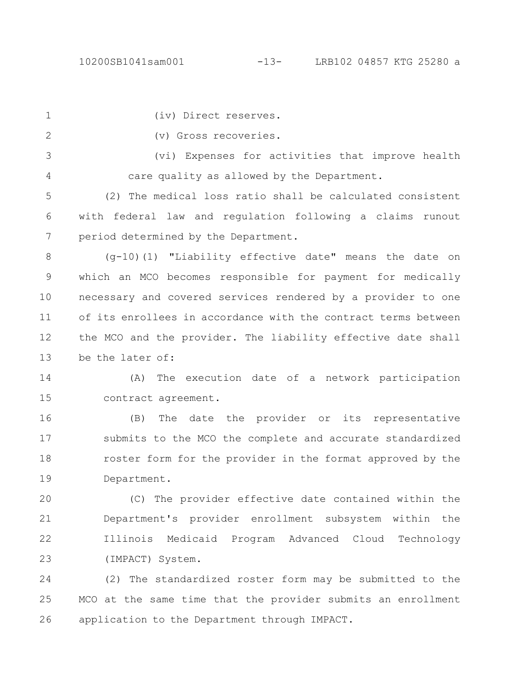- (iv) Direct reserves. 1
- (v) Gross recoveries. 2

(vi) Expenses for activities that improve health care quality as allowed by the Department. 3 4

(2) The medical loss ratio shall be calculated consistent with federal law and regulation following a claims runout period determined by the Department. 5 6 7

(g-10)(1) "Liability effective date" means the date on which an MCO becomes responsible for payment for medically necessary and covered services rendered by a provider to one of its enrollees in accordance with the contract terms between the MCO and the provider. The liability effective date shall be the later of: 8 9 10 11 12 13

(A) The execution date of a network participation contract agreement. 14 15

(B) The date the provider or its representative submits to the MCO the complete and accurate standardized roster form for the provider in the format approved by the Department. 16 17 18 19

(C) The provider effective date contained within the Department's provider enrollment subsystem within the Illinois Medicaid Program Advanced Cloud Technology (IMPACT) System. 20 21 22 23

(2) The standardized roster form may be submitted to the MCO at the same time that the provider submits an enrollment application to the Department through IMPACT. 24 25 26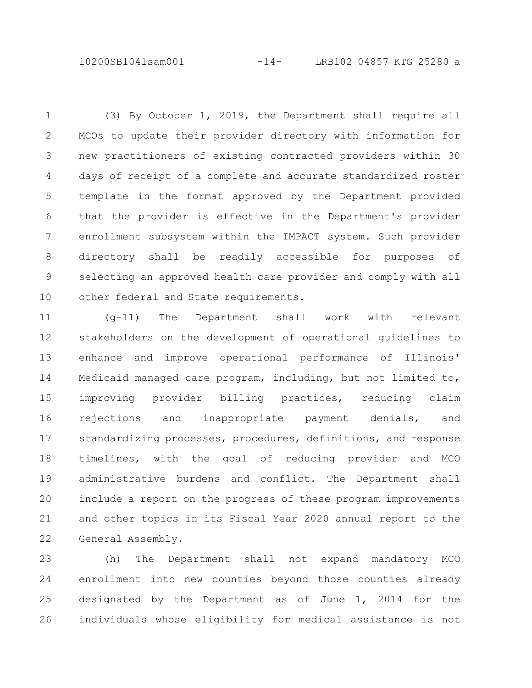10200SB1041sam001 -14- LRB102 04857 KTG 25280 a

(3) By October 1, 2019, the Department shall require all MCOs to update their provider directory with information for new practitioners of existing contracted providers within 30 days of receipt of a complete and accurate standardized roster template in the format approved by the Department provided that the provider is effective in the Department's provider enrollment subsystem within the IMPACT system. Such provider directory shall be readily accessible for purposes of selecting an approved health care provider and comply with all other federal and State requirements. 1 2 3 4 5 6 7 8 9 10

(g-11) The Department shall work with relevant stakeholders on the development of operational guidelines to enhance and improve operational performance of Illinois' Medicaid managed care program, including, but not limited to, improving provider billing practices, reducing claim rejections and inappropriate payment denials, and standardizing processes, procedures, definitions, and response timelines, with the goal of reducing provider and MCO administrative burdens and conflict. The Department shall include a report on the progress of these program improvements and other topics in its Fiscal Year 2020 annual report to the General Assembly. 11 12 13 14 15 16 17 18 19 20 21 22

(h) The Department shall not expand mandatory MCO enrollment into new counties beyond those counties already designated by the Department as of June 1, 2014 for the individuals whose eligibility for medical assistance is not 23 24 25 26